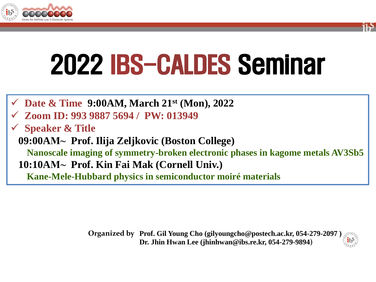



- **Date & Time 9:00AM, March 21st (Mon), 2022**
- **Zoom ID: 993 9887 5694 / PW: 013949**
- **Speaker & Title**
- **09:00AM⁓ Prof. Ilija Zeljkovic (Boston College)**
	- **Nanoscale imaging of symmetry-broken electronic phases in kagome metals AV3Sb5 10:10AM⁓ Prof. Kin Fai Mak (Cornell Univ.)**
		- **Kane-Mele-Hubbard physics in semiconductor moiré materials**

**Prof. Gil Young Cho (gilyoungcho@postech.ac.kr, 054-279-2097 ) Organized by Dr. Jhin Hwan Lee (jhinhwan@ibs.re.kr, 054-279-9894)**

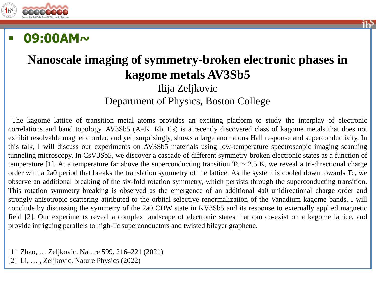

## **09:00AM~**

#### **Nanoscale imaging of symmetry-broken electronic phases in kagome metals AV3Sb5** Ilija Zeljkovic Department of Physics, Boston College

The kagome lattice of transition metal atoms provides an exciting platform to study the interplay of electronic correlations and band topology. AV3Sb5 (A=K, Rb, Cs) is a recently discovered class of kagome metals that does not exhibit resolvable magnetic order, and yet, surprisingly, shows a large anomalous Hall response and superconductivity. In this talk, I will discuss our experiments on AV3Sb5 materials using low-temperature spectroscopic imaging scanning tunneling microscopy. In CsV3Sb5, we discover a cascade of different symmetry-broken electronic states as a function of temperature [1]. At a temperature far above the superconducting transition  $T_c \sim 2.5$  K, we reveal a tri-directional charge order with a 2a0 period that breaks the translation symmetry of the lattice. As the system is cooled down towards Tc, we observe an additional breaking of the six-fold rotation symmetry, which persists through the superconducting transition. This rotation symmetry breaking is observed as the emergence of an additional 4a0 unidirectional charge order and strongly anisotropic scattering attributed to the orbital-selective renormalization of the Vanadium kagome bands. I will conclude by discussing the symmetry of the 2a0 CDW state in KV3Sb5 and its response to externally applied magnetic field [2]. Our experiments reveal a complex landscape of electronic states that can co-exist on a kagome lattice, and provide intriguing parallels to high-Tc superconductors and twisted bilayer graphene.

[1] Zhao, … Zeljkovic. Nature 599, 216–221 (2021)

[2] Li, … , Zeljkovic. Nature Physics (2022)